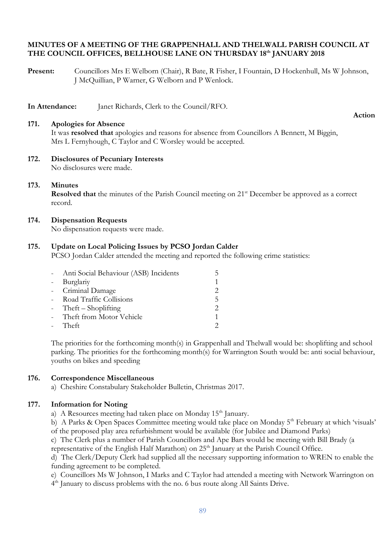# **MINUTES OF A MEETING OF THE GRAPPENHALL AND THELWALL PARISH COUNCIL AT THE COUNCIL OFFICES, BELLHOUSE LANE ON THURSDAY 18th JANUARY 2018**

**Present:** Councillors Mrs E Welborn (Chair), R Bate, R Fisher, I Fountain, D Hockenhull, Ms W Johnson, J McQuillian, P Warner, G Welborn and P Wenlock.

**In Attendance:** Janet Richards, Clerk to the Council/RFO.

#### **171. Apologies for Absence**

**Action**

It was **resolved that** apologies and reasons for absence from Councillors A Bennett, M Biggin, Mrs L Fernyhough, C Taylor and C Worsley would be accepted.

**172. Disclosures of Pecuniary Interests** No disclosures were made.

### **173. Minutes**

**Resolved that** the minutes of the Parish Council meeting on 21<sup>st</sup> December be approved as a correct record.

### **174. Dispensation Requests**

No dispensation requests were made.

### **175. Update on Local Policing Issues by PCSO Jordan Calder**

PCSO Jordan Calder attended the meeting and reported the following crime statistics:

|                     | - Anti Social Behaviour (ASB) Incidents |                          |
|---------------------|-----------------------------------------|--------------------------|
| $\omega_{\rm{max}}$ | Burglariy                               |                          |
|                     | - Criminal Damage                       |                          |
|                     | - Road Traffic Collisions               | $\overline{\phantom{a}}$ |
|                     | - Theft $-$ Shoplifting                 |                          |
|                     | - Theft from Motor Vehicle              |                          |
|                     | - Theft                                 |                          |

The priorities for the forthcoming month(s) in Grappenhall and Thelwall would be: shoplifting and school parking. The priorities for the forthcoming month(s) for Warrington South would be: anti social behaviour, youths on bikes and speeding

#### **176. Correspondence Miscellaneous**

a) Cheshire Constabulary Stakeholder Bulletin, Christmas 2017.

# **177. Information for Noting**

- a) A Resources meeting had taken place on Monday 15<sup>th</sup> January.
- b) A Parks & Open Spaces Committee meeting would take place on Monday 5<sup>th</sup> February at which 'visuals' of the proposed play area refurbishment would be available (for Jubilee and Diamond Parks)
- c) The Clerk plus a number of Parish Councillors and Ape Bars would be meeting with Bill Brady (a

representative of the English Half Marathon) on 25<sup>th</sup> January at the Parish Council Office.

d) The Clerk/Deputy Clerk had supplied all the necessary supporting information to WREN to enable the funding agreement to be completed.

e) Councillors Ms W Johnson, I Marks and C Taylor had attended a meeting with Network Warrington on

4<sup>th</sup> January to discuss problems with the no. 6 bus route along All Saints Drive.